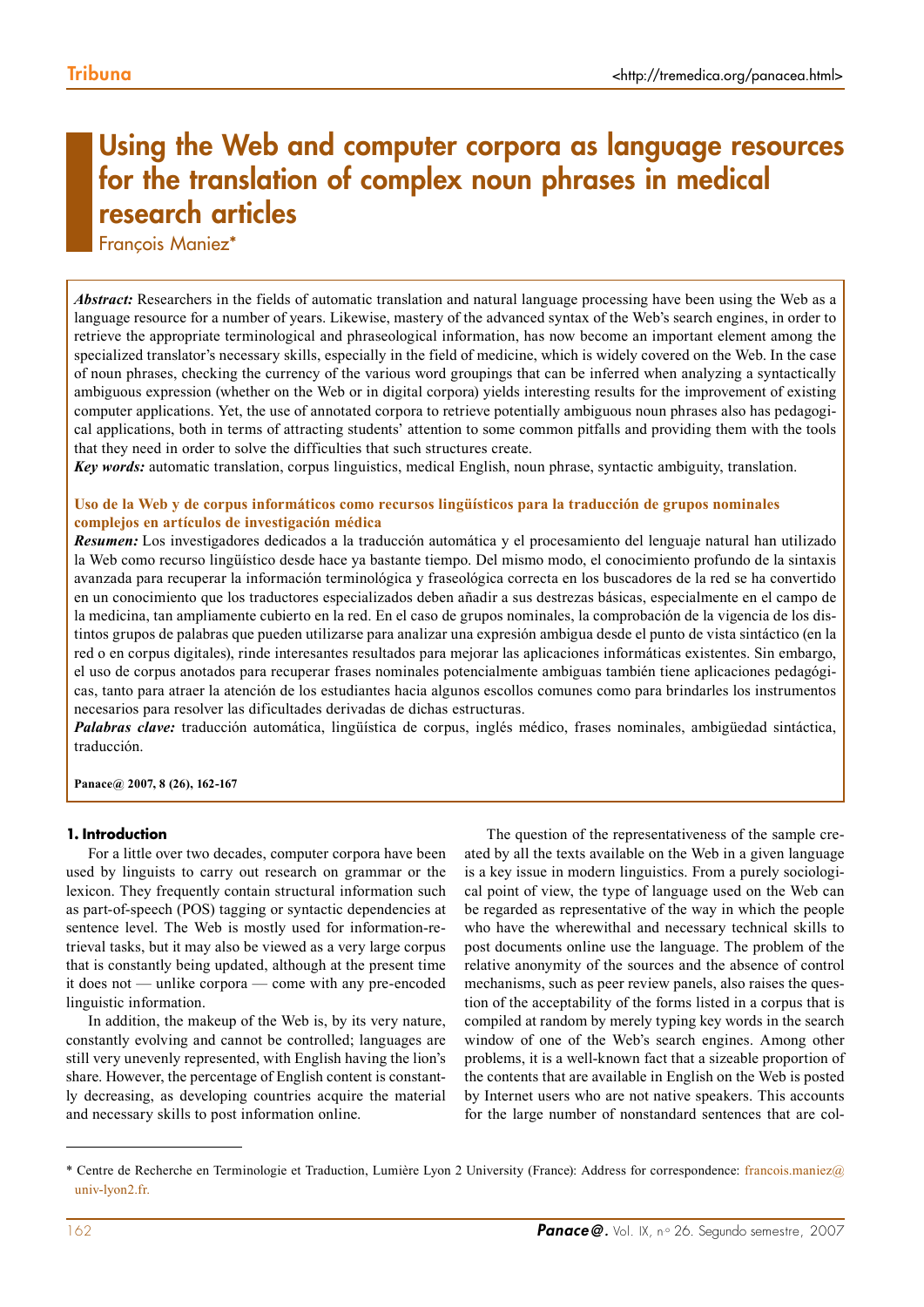# Using the Web and computer corpora as language resources for the translation of complex noun phrases in medical research articles

François Maniez\*

*Abstract:* Researchers in the fields of automatic translation and natural language processing have been using the Web as a language resource for a number of years. Likewise, mastery of the advanced syntax of the Web's search engines, in order to retrieve the appropriate terminological and phraseological information, has now become an important element among the specialized translator's necessary skills, especially in the field of medicine, which is widely covered on the Web. In the case of noun phrases, checking the currency of the various word groupings that can be inferred when analyzing a syntactically ambiguous expression (whether on the Web or in digital corpora) yields interesting results for the improvement of existing computer applications. Yet, the use of annotated corpora to retrieve potentially ambiguous noun phrases also has pedagogical applications, both in terms of attracting students' attention to some common pitfalls and providing them with the tools that they need in order to solve the difficulties that such structures create.

*Key words:* automatic translation, corpus linguistics, medical English, noun phrase, syntactic ambiguity, translation.

#### **Uso de la Web y de corpus informáticos como recursos lingüísticos para la traducción de grupos nominales complejos en artículos de investigación médica**

*Resumen:* Los investigadores dedicados a la traducción automática y el procesamiento del lenguaje natural han utilizado la Web como recurso lingüístico desde hace ya bastante tiempo. Del mismo modo, el conocimiento profundo de la sintaxis avanzada para recuperar la información terminológica y fraseológica correcta en los buscadores de la red se ha convertido en un conocimiento que los traductores especializados deben añadir a sus destrezas básicas, especialmente en el campo de la medicina, tan ampliamente cubierto en la red. En el caso de grupos nominales, la comprobación de la vigencia de los distintos grupos de palabras que pueden utilizarse para analizar una expresión ambigua desde el punto de vista sintáctico (en la red o en corpus digitales), rinde interesantes resultados para mejorar las aplicaciones informáticas existentes. Sin embargo, el uso de corpus anotados para recuperar frases nominales potencialmente ambiguas también tiene aplicaciones pedagógicas, tanto para atraer la atención de los estudiantes hacia algunos escollos comunes como para brindarles los instrumentos necesarios para resolver las dificultades derivadas de dichas estructuras.

*Palabras clave:* traducción automática, lingüística de corpus, inglés médico, frases nominales, ambigüedad sintáctica, traducción.

**Panace@ 2007, 8 (26), 162-167**

#### **1. Introduction**

For a little over two decades, computer corpora have been used by linguists to carry out research on grammar or the lexicon. They frequently contain structural information such as part-of-speech (POS) tagging or syntactic dependencies at sentence level. The Web is mostly used for information-retrieval tasks, but it may also be viewed as a very large corpus that is constantly being updated, although at the present time it does not — unlike corpora — come with any pre-encoded linguistic information.

In addition, the makeup of the Web is, by its very nature, constantly evolving and cannot be controlled; languages are still very unevenly represented, with English having the lion's share. However, the percentage of English content is constantly decreasing, as developing countries acquire the material and necessary skills to post information online.

The question of the representativeness of the sample created by all the texts available on the Web in a given language is a key issue in modern linguistics. From a purely sociological point of view, the type of language used on the Web can be regarded as representative of the way in which the people who have the wherewithal and necessary technical skills to post documents online use the language. The problem of the relative anonymity of the sources and the absence of control mechanisms, such as peer review panels, also raises the question of the acceptability of the forms listed in a corpus that is compiled at random by merely typing key words in the search window of one of the Web's search engines. Among other problems, it is a well-known fact that a sizeable proportion of the contents that are available in English on the Web is posted by Internet users who are not native speakers. This accounts for the large number of nonstandard sentences that are col-

<sup>\*</sup> Centre de Recherche en Terminologie et Traduction, Lumière Lyon 2 University (France): Address for correspondence: francois.maniez@ univ-lyon2.fr.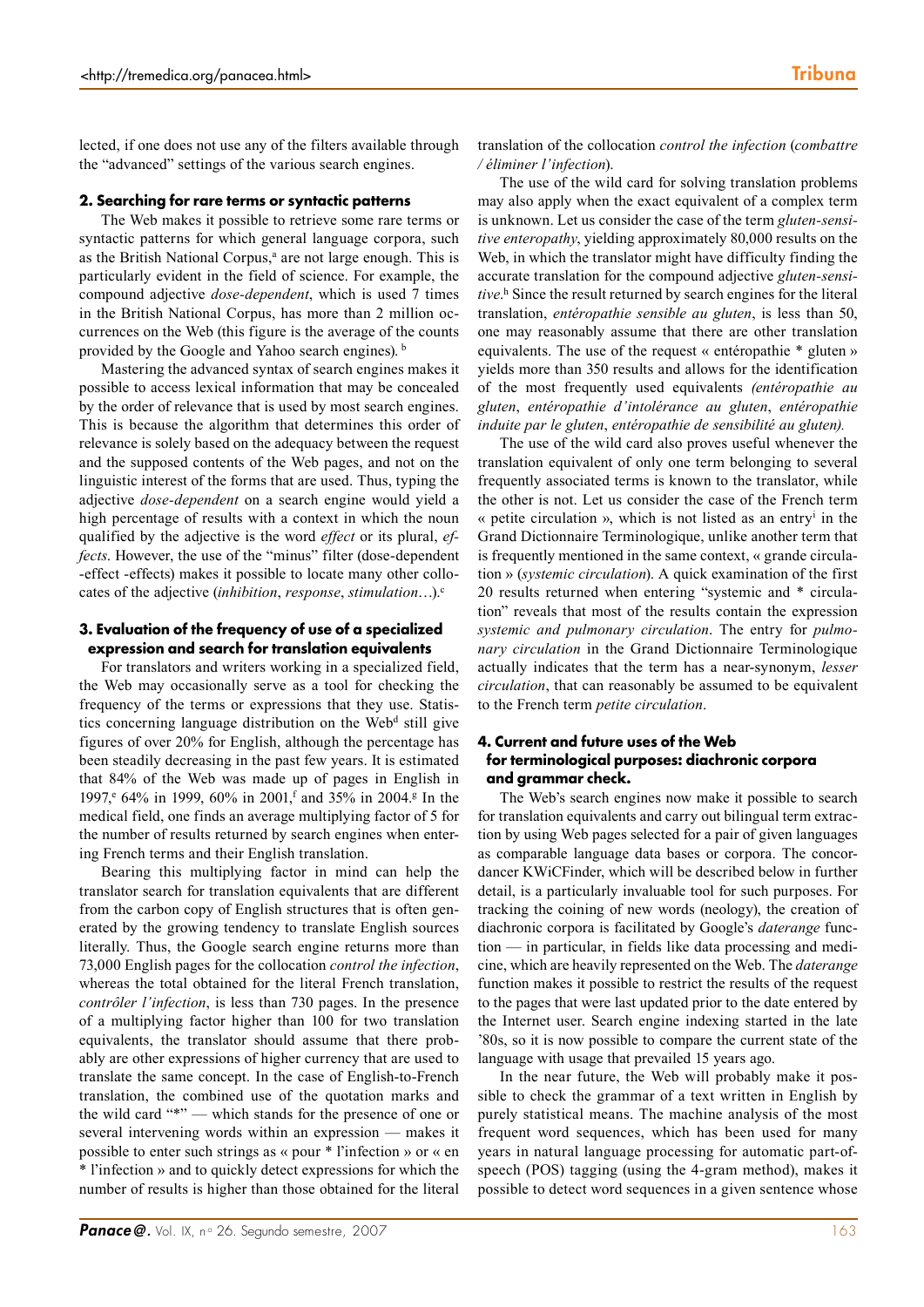lected, if one does not use any of the filters available through the "advanced" settings of the various search engines.

#### **2. Searching for rare terms or syntactic patterns**

The Web makes it possible to retrieve some rare terms or syntactic patterns for which general language corpora, such as the British National Corpus,<sup>a</sup> are not large enough. This is particularly evident in the field of science. For example, the compound adjective *dose-dependent*, which is used 7 times in the British National Corpus, has more than 2 million occurrences on the Web (this figure is the average of the counts provided by the Google and Yahoo search engines). b

Mastering the advanced syntax of search engines makes it possible to access lexical information that may be concealed by the order of relevance that is used by most search engines. This is because the algorithm that determines this order of relevance is solely based on the adequacy between the request and the supposed contents of the Web pages, and not on the linguistic interest of the forms that are used. Thus, typing the adjective *dose-dependent* on a search engine would yield a high percentage of results with a context in which the noun qualified by the adjective is the word *effect* or its plural, *effects*. However, the use of the "minus" filter (dose-dependent -effect -effects) makes it possible to locate many other collocates of the adjective (*inhibition*, *response*, *stimulation*…).c

#### **3. Evaluation of the frequency of use of a specialized expression and search for translation equivalents**

For translators and writers working in a specialized field, the Web may occasionally serve as a tool for checking the frequency of the terms or expressions that they use. Statistics concerning language distribution on the Web<sup>d</sup> still give figures of over 20% for English, although the percentage has been steadily decreasing in the past few years. It is estimated that 84% of the Web was made up of pages in English in 1997,<sup>e</sup> 64% in 1999, 60% in 2001,<sup>f</sup> and 35% in 2004.<sup>g</sup> In the medical field, one finds an average multiplying factor of 5 for the number of results returned by search engines when entering French terms and their English translation.

Bearing this multiplying factor in mind can help the translator search for translation equivalents that are different from the carbon copy of English structures that is often generated by the growing tendency to translate English sources literally. Thus, the Google search engine returns more than 73,000 English pages for the collocation *control the infection*, whereas the total obtained for the literal French translation, *contrôler l'infection*, is less than 730 pages. In the presence of a multiplying factor higher than 100 for two translation equivalents, the translator should assume that there probably are other expressions of higher currency that are used to translate the same concept. In the case of English-to-French translation, the combined use of the quotation marks and the wild card "\*" — which stands for the presence of one or several intervening words within an expression — makes it possible to enter such strings as « pour \* l'infection » or « en \* l'infection » and to quickly detect expressions for which the number of results is higher than those obtained for the literal translation of the collocation *control the infection* (*combattre / éliminer l'infection*).

The use of the wild card for solving translation problems may also apply when the exact equivalent of a complex term is unknown. Let us consider the case of the term *gluten-sensitive enteropathy*, yielding approximately 80,000 results on the Web, in which the translator might have difficulty finding the accurate translation for the compound adjective *gluten-sensitive*. h Since the result returned by search engines for the literal translation, *entéropathie sensible au gluten*, is less than 50, one may reasonably assume that there are other translation equivalents. The use of the request « entéropathie \* gluten » yields more than 350 results and allows for the identification of the most frequently used equivalents *(entéropathie au gluten*, *entéropathie d'intolérance au gluten*, *entéropathie induite par le gluten*, *entéropathie de sensibilité au gluten).*

The use of the wild card also proves useful whenever the translation equivalent of only one term belonging to several frequently associated terms is known to the translator, while the other is not. Let us consider the case of the French term « petite circulation », which is not listed as an entryi in the Grand Dictionnaire Terminologique, unlike another term that is frequently mentioned in the same context, « grande circulation » (*systemic circulation*). A quick examination of the first 20 results returned when entering "systemic and \* circulation" reveals that most of the results contain the expression *systemic and pulmonary circulation*. The entry for *pulmonary circulation* in the Grand Dictionnaire Terminologique actually indicates that the term has a near-synonym, *lesser circulation*, that can reasonably be assumed to be equivalent to the French term *petite circulation*.

## **4. Current and future uses of the Web for terminological purposes: diachronic corpora and grammar check.**

The Web's search engines now make it possible to search for translation equivalents and carry out bilingual term extraction by using Web pages selected for a pair of given languages as comparable language data bases or corpora. The concordancer KWiCFinder, which will be described below in further detail, is a particularly invaluable tool for such purposes. For tracking the coining of new words (neology), the creation of diachronic corpora is facilitated by Google's *daterange* function — in particular, in fields like data processing and medicine, which are heavily represented on the Web. The *daterange* function makes it possible to restrict the results of the request to the pages that were last updated prior to the date entered by the Internet user. Search engine indexing started in the late '80s, so it is now possible to compare the current state of the language with usage that prevailed 15 years ago.

In the near future, the Web will probably make it possible to check the grammar of a text written in English by purely statistical means. The machine analysis of the most frequent word sequences, which has been used for many years in natural language processing for automatic part-ofspeech (POS) tagging (using the 4-gram method), makes it possible to detect word sequences in a given sentence whose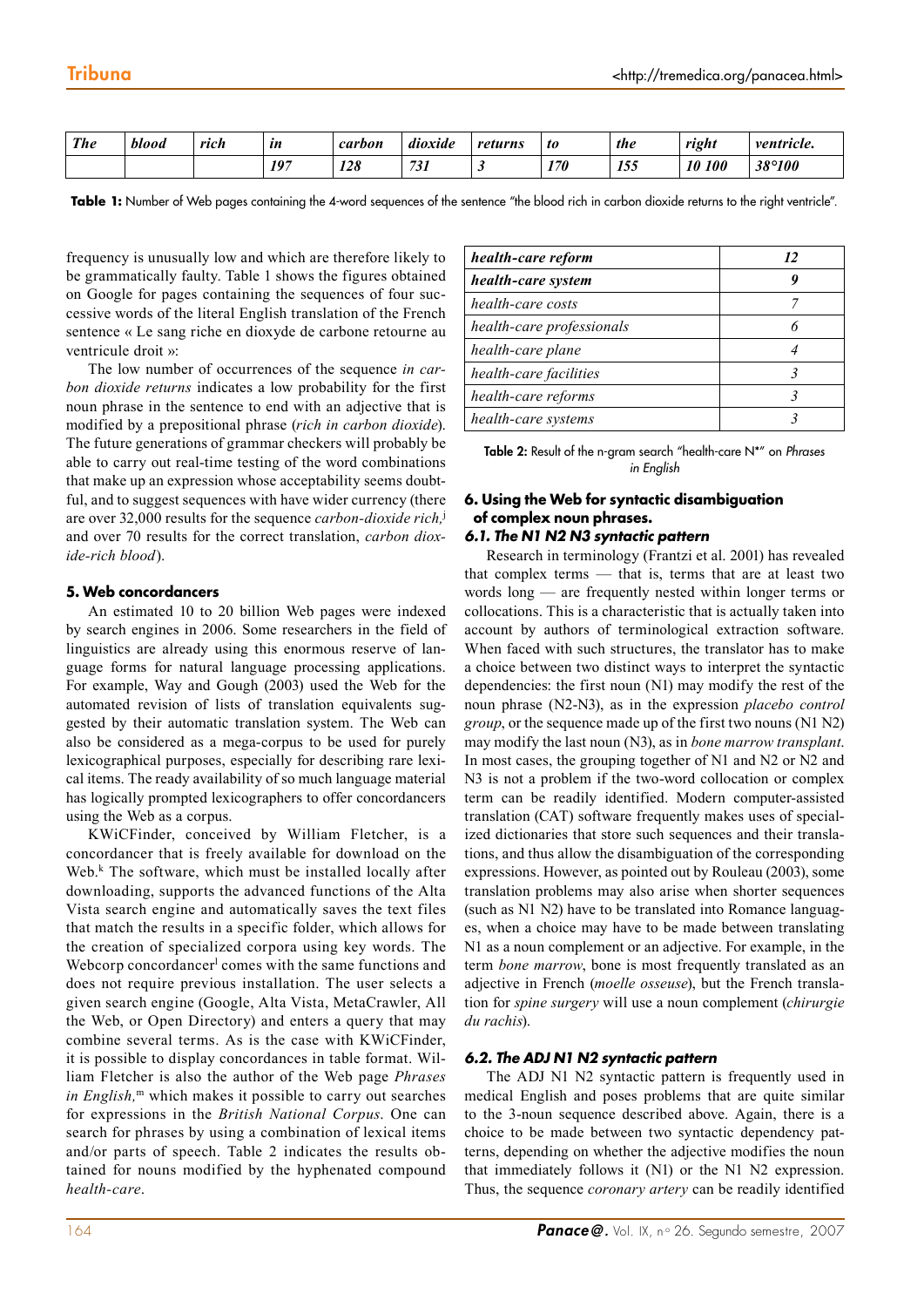| <b>The</b> | blood | rich | ln  | carbon | $\cdots$<br>$\cdot$ .<br>dioxide | returns | t0  | the | right                   | <i>ventricle.</i> |
|------------|-------|------|-----|--------|----------------------------------|---------|-----|-----|-------------------------|-------------------|
|            |       |      | 197 | 128    | 731                              | ັ       | 170 | 155 | 10<br><i><b>100</b></i> | 38°100            |

Table 1: Number of Web pages containing the 4-word sequences of the sentence "the blood rich in carbon dioxide returns to the right ventricle".

frequency is unusually low and which are therefore likely to be grammatically faulty. Table 1 shows the figures obtained on Google for pages containing the sequences of four successive words of the literal English translation of the French sentence « Le sang riche en dioxyde de carbone retourne au ventricule droit »:

The low number of occurrences of the sequence *in carbon dioxide returns* indicates a low probability for the first noun phrase in the sentence to end with an adjective that is modified by a prepositional phrase (*rich in carbon dioxide*). The future generations of grammar checkers will probably be able to carry out real-time testing of the word combinations that make up an expression whose acceptability seems doubtful, and to suggest sequences with have wider currency (there are over 32,000 results for the sequence *carbon-dioxide rich,*<sup>j</sup> and over 70 results for the correct translation, *carbon dioxide-rich blood*).

### **5. Web concordancers**

An estimated 10 to 20 billion Web pages were indexed by search engines in 2006. Some researchers in the field of linguistics are already using this enormous reserve of language forms for natural language processing applications. For example, Way and Gough (2003) used the Web for the automated revision of lists of translation equivalents suggested by their automatic translation system. The Web can also be considered as a mega-corpus to be used for purely lexicographical purposes, especially for describing rare lexical items. The ready availability of so much language material has logically prompted lexicographers to offer concordancers using the Web as a corpus.

KWiCFinder, conceived by William Fletcher, is a concordancer that is freely available for download on the Web.k The software, which must be installed locally after downloading, supports the advanced functions of the Alta Vista search engine and automatically saves the text files that match the results in a specific folder, which allows for the creation of specialized corpora using key words. The Webcorp concordancer<sup>l</sup> comes with the same functions and does not require previous installation. The user selects a given search engine (Google, Alta Vista, MetaCrawler, All the Web, or Open Directory) and enters a query that may combine several terms. As is the case with KWiCFinder, it is possible to display concordances in table format. William Fletcher is also the author of the Web page *Phrases in English,*m which makes it possible to carry out searches for expressions in the *British National Corpus*. One can search for phrases by using a combination of lexical items and/or parts of speech. Table 2 indicates the results obtained for nouns modified by the hyphenated compound *health-care*.

| health-care reform        | 12 |  |  |
|---------------------------|----|--|--|
| health-care system        |    |  |  |
| health-care costs         |    |  |  |
| health-care professionals |    |  |  |
| health-care plane         |    |  |  |
| health-care facilities    |    |  |  |
| health-care reforms       |    |  |  |
| health-care systems       |    |  |  |

Table 2: Result of the n-gram search "health-care N\*" on *Phrases in English*

# **6. Using the Web for syntactic disambiguation of complex noun phrases.**

# *6.1. The N1 N2 N3 syntactic pattern*

Research in terminology (Frantzi et al. 2001) has revealed that complex terms — that is, terms that are at least two words long — are frequently nested within longer terms or collocations. This is a characteristic that is actually taken into account by authors of terminological extraction software. When faced with such structures, the translator has to make a choice between two distinct ways to interpret the syntactic dependencies: the first noun (N1) may modify the rest of the noun phrase (N2-N3), as in the expression *placebo control group*, or the sequence made up of the first two nouns (N1 N2) may modify the last noun (N3), as in *bone marrow transplant*. In most cases, the grouping together of N1 and N2 or N2 and N3 is not a problem if the two-word collocation or complex term can be readily identified. Modern computer-assisted translation (CAT) software frequently makes uses of specialized dictionaries that store such sequences and their translations, and thus allow the disambiguation of the corresponding expressions. However, as pointed out by Rouleau (2003), some translation problems may also arise when shorter sequences (such as N1 N2) have to be translated into Romance languages, when a choice may have to be made between translating N1 as a noun complement or an adjective. For example, in the term *bone marrow*, bone is most frequently translated as an adjective in French (*moelle osseuse*), but the French translation for *spine surgery* will use a noun complement (*chirurgie du rachis*).

# *6.2. The ADJ N1 N2 syntactic pattern*

The ADJ N1 N2 syntactic pattern is frequently used in medical English and poses problems that are quite similar to the 3-noun sequence described above. Again, there is a choice to be made between two syntactic dependency patterns, depending on whether the adjective modifies the noun that immediately follows it (N1) or the N1 N2 expression. Thus, the sequence *coronary artery* can be readily identified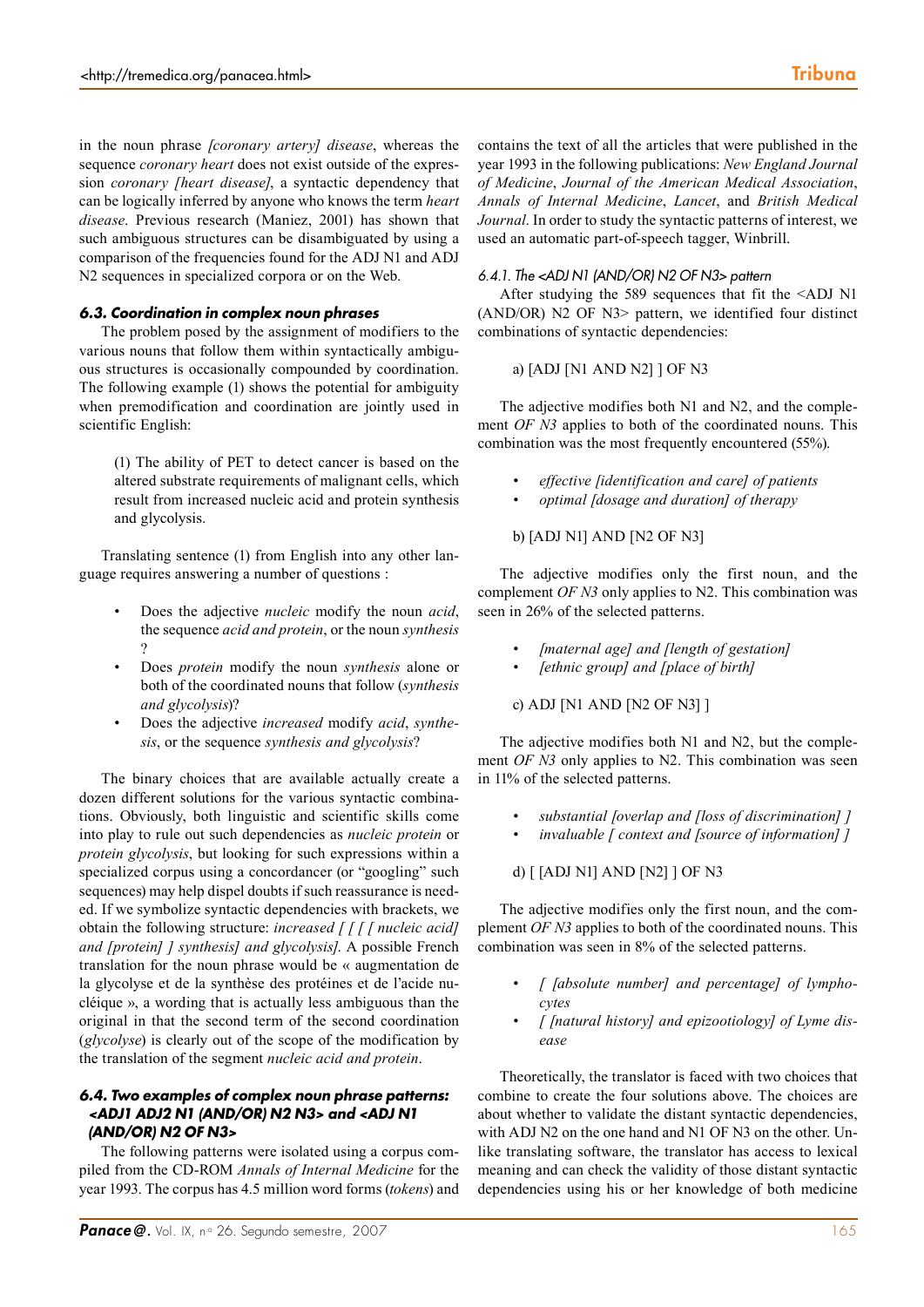in the noun phrase *[coronary artery] disease*, whereas the sequence *coronary heart* does not exist outside of the expression *coronary [heart disease]*, a syntactic dependency that can be logically inferred by anyone who knows the term *heart disease*. Previous research (Maniez, 2001) has shown that such ambiguous structures can be disambiguated by using a comparison of the frequencies found for the ADJ N1 and ADJ N2 sequences in specialized corpora or on the Web.

## *6.3. Coordination in complex noun phrases*

The problem posed by the assignment of modifiers to the various nouns that follow them within syntactically ambiguous structures is occasionally compounded by coordination. The following example (1) shows the potential for ambiguity when premodification and coordination are jointly used in scientific English:

(1) The ability of PET to detect cancer is based on the altered substrate requirements of malignant cells, which result from increased nucleic acid and protein synthesis and glycolysis.

Translating sentence (1) from English into any other language requires answering a number of questions :

- Does the adjective *nucleic* modify the noun *acid*, the sequence *acid and protein*, or the noun *synthesis* ?
- Does *protein* modify the noun *synthesis* alone or both of the coordinated nouns that follow (*synthesis and glycolysis*)?
- Does the adjective *increased* modify *acid*, *synthesis*, or the sequence *synthesis and glycolysis*?

The binary choices that are available actually create a dozen different solutions for the various syntactic combinations. Obviously, both linguistic and scientific skills come into play to rule out such dependencies as *nucleic protein* or *protein glycolysis*, but looking for such expressions within a specialized corpus using a concordancer (or "googling" such sequences) may help dispel doubts if such reassurance is needed. If we symbolize syntactic dependencies with brackets, we obtain the following structure: *increased [ [ [ [ nucleic acid] and [protein] ] synthesis] and glycolysis]*. A possible French translation for the noun phrase would be « augmentation de la glycolyse et de la synthèse des protéines et de l'acide nucléique », a wording that is actually less ambiguous than the original in that the second term of the second coordination (*glycolyse*) is clearly out of the scope of the modification by the translation of the segment *nucleic acid and protein*.

## *6.4. Two examples of complex noun phrase patterns: <ADJ1 ADJ2 N1 (AND/OR) N2 N3> and <ADJ N1 (AND/OR) N2 OF N3>*

The following patterns were isolated using a corpus compiled from the CD-ROM *Annals of Internal Medicine* for the year 1993. The corpus has 4.5 million word forms (*tokens*) and contains the text of all the articles that were published in the year 1993 in the following publications: *New England Journal of Medicine*, *Journal of the American Medical Association*, *Annals of Internal Medicine*, *Lancet*, and *British Medical Journal*. In order to study the syntactic patterns of interest, we used an automatic part-of-speech tagger, Winbrill.

#### *6.4.1. The <ADJ N1 (AND/OR) N2 OF N3> pattern*

After studying the 589 sequences that fit the <ADJ N1 (AND/OR) N2 OF N3> pattern, we identified four distinct combinations of syntactic dependencies:

a) [ADJ [N1 AND N2] ] OF N3

The adjective modifies both N1 and N2, and the complement *OF N3* applies to both of the coordinated nouns. This combination was the most frequently encountered (55%).

- *• effective [identification and care] of patients*
- *• optimal [dosage and duration] of therapy*

### b) [ADJ N1] AND [N2 OF N3]

The adjective modifies only the first noun, and the complement *OF N3* only applies to N2. This combination was seen in 26% of the selected patterns.

- *• [maternal age] and [length of gestation]*
- *• [ethnic group] and [place of birth]*

c) ADJ [N1 AND [N2 OF N3] ]

The adjective modifies both N1 and N2, but the complement *OF N3* only applies to N2. This combination was seen in 11% of the selected patterns.

- *• substantial [overlap and [loss of discrimination] ]*
- *• invaluable [ context and [source of information] ]*

d) [ [ADJ N1] AND [N2] ] OF N3

The adjective modifies only the first noun, and the complement *OF N3* applies to both of the coordinated nouns. This combination was seen in 8% of the selected patterns.

- *• [ [absolute number] and percentage] of lymphocytes*
- *• [ [natural history] and epizootiology] of Lyme disease*

Theoretically, the translator is faced with two choices that combine to create the four solutions above. The choices are about whether to validate the distant syntactic dependencies, with ADJ N2 on the one hand and N1 OF N3 on the other. Unlike translating software, the translator has access to lexical meaning and can check the validity of those distant syntactic dependencies using his or her knowledge of both medicine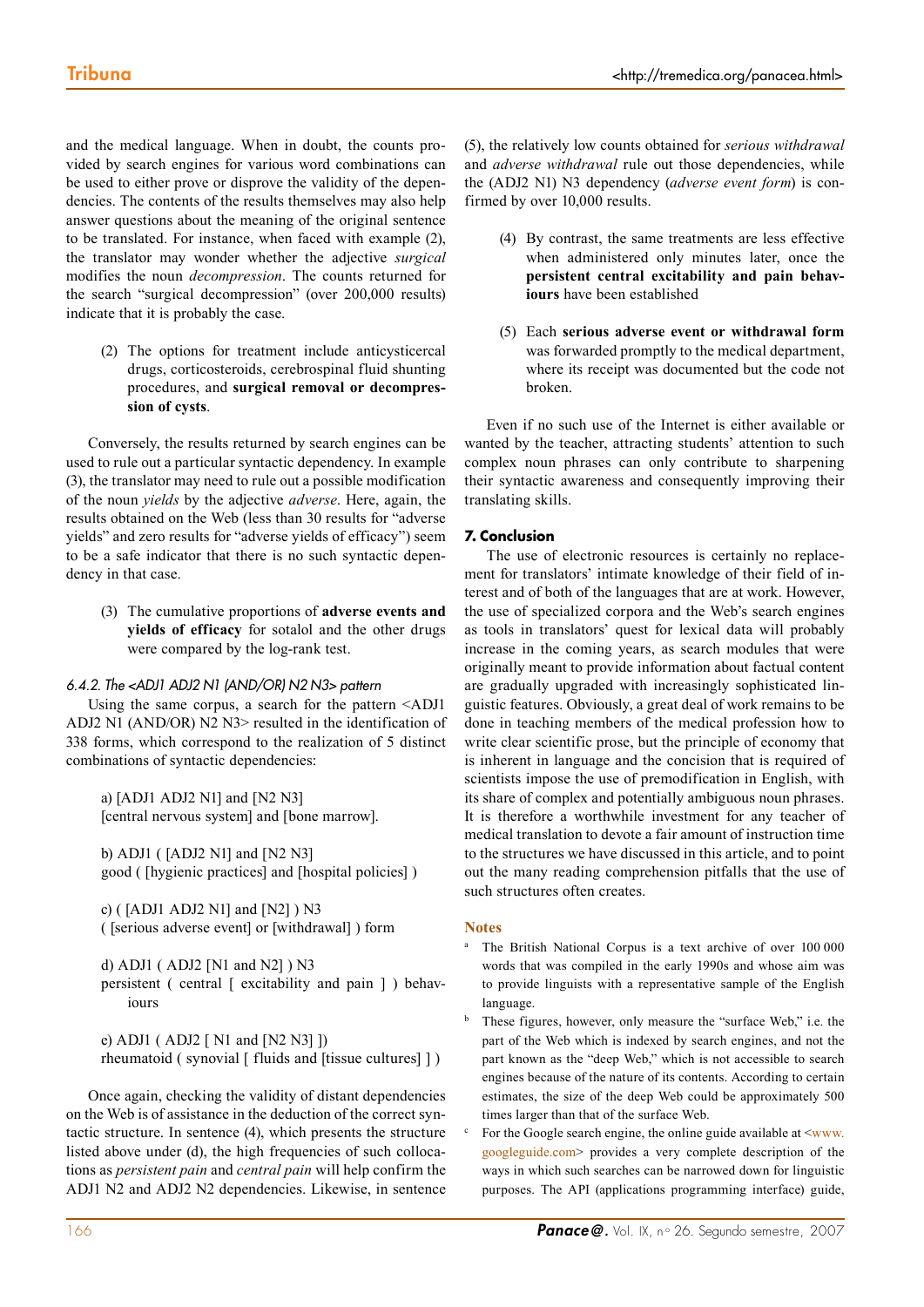and the medical language. When in doubt, the counts provided by search engines for various word combinations can be used to either prove or disprove the validity of the dependencies. The contents of the results themselves may also help answer questions about the meaning of the original sentence to be translated. For instance, when faced with example (2), the translator may wonder whether the adjective *surgical* modifies the noun *decompression*. The counts returned for the search "surgical decompression" (over 200,000 results) indicate that it is probably the case.

(2) The options for treatment include anticysticercal drugs, corticosteroids, cerebrospinal fluid shunting procedures, and **surgical removal or decompression of cysts**.

Conversely, the results returned by search engines can be used to rule out a particular syntactic dependency. In example (3), the translator may need to rule out a possible modification of the noun *yields* by the adjective *adverse*. Here, again, the results obtained on the Web (less than 30 results for "adverse yields" and zero results for "adverse yields of efficacy") seem to be a safe indicator that there is no such syntactic dependency in that case.

(3) The cumulative proportions of **adverse events and yields of efficacy** for sotalol and the other drugs were compared by the log-rank test.

#### *6.4.2. The <ADJ1 ADJ2 N1 (AND/OR) N2 N3> pattern*

Using the same corpus, a search for the pattern <ADJ1 ADJ2 N1 (AND/OR) N2 N3> resulted in the identification of 338 forms, which correspond to the realization of 5 distinct combinations of syntactic dependencies:

a) [ADJ1 ADJ2 N1] and [N2 N3] [central nervous system] and [bone marrow].

b) ADJ1 ( [ADJ2 N1] and [N2 N3] good ( [hygienic practices] and [hospital policies] )

c) ( [ADJ1 ADJ2 N1] and [N2] ) N3 ( [serious adverse event] or [withdrawal] ) form

d) ADJ1 ( ADJ2 [N1 and N2] ) N3 persistent ( central [ excitability and pain ] ) behaviours

e) ADJ1 ( ADJ2 [ N1 and [N2 N3] ]) rheumatoid ( synovial  $\lceil$  fluids and  $\lceil$  fissue cultures $\rceil$   $\rceil$ )

Once again, checking the validity of distant dependencies on the Web is of assistance in the deduction of the correct syntactic structure. In sentence (4), which presents the structure listed above under (d), the high frequencies of such collocations as *persistent pain* and *central pain* will help confirm the ADJ1 N2 and ADJ2 N2 dependencies. Likewise, in sentence

(5), the relatively low counts obtained for *serious withdrawal* and *adverse withdrawal* rule out those dependencies, while the (ADJ2 N1) N3 dependency (*adverse event form*) is confirmed by over 10,000 results.

- (4) By contrast, the same treatments are less effective when administered only minutes later, once the **persistent central excitability and pain behaviours** have been established
- (5) Each **serious adverse event or withdrawal form** was forwarded promptly to the medical department, where its receipt was documented but the code not broken.

Even if no such use of the Internet is either available or wanted by the teacher, attracting students' attention to such complex noun phrases can only contribute to sharpening their syntactic awareness and consequently improving their translating skills.

# **7. Conclusion**

The use of electronic resources is certainly no replacement for translators' intimate knowledge of their field of interest and of both of the languages that are at work. However, the use of specialized corpora and the Web's search engines as tools in translators' quest for lexical data will probably increase in the coming years, as search modules that were originally meant to provide information about factual content are gradually upgraded with increasingly sophisticated linguistic features. Obviously, a great deal of work remains to be done in teaching members of the medical profession how to write clear scientific prose, but the principle of economy that is inherent in language and the concision that is required of scientists impose the use of premodification in English, with its share of complex and potentially ambiguous noun phrases. It is therefore a worthwhile investment for any teacher of medical translation to devote a fair amount of instruction time to the structures we have discussed in this article, and to point out the many reading comprehension pitfalls that the use of such structures often creates.

#### **Notes**

- The British National Corpus is a text archive of over 100 000 words that was compiled in the early 1990s and whose aim was to provide linguists with a representative sample of the English language.
- These figures, however, only measure the "surface Web," i.e. the part of the Web which is indexed by search engines, and not the part known as the "deep Web," which is not accessible to search engines because of the nature of its contents. According to certain estimates, the size of the deep Web could be approximately 500 times larger than that of the surface Web.
- For the Google search engine, the online guide available at  $\leq_{\text{www}}$ . googleguide.com> provides a very complete description of the ways in which such searches can be narrowed down for linguistic purposes. The API (applications programming interface) guide,